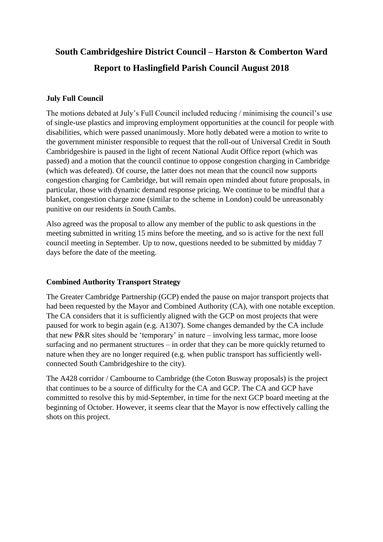# **South Cambridgeshire District Council – Harston & Comberton Ward Report to Haslingfield Parish Council August 2018**

## **July Full Council**

The motions debated at July's Full Council included reducing / minimising the council's use of single-use plastics and improving employment opportunities at the council for people with disabilities, which were passed unanimously. More hotly debated were a motion to write to the government minister responsible to request that the roll-out of Universal Credit in South Cambridgeshire is paused in the light of recent National Audit Office report (which was passed) and a motion that the council continue to oppose congestion charging in Cambridge (which was defeated). Of course, the latter does not mean that the council now supports congestion charging for Cambridge, but will remain open minded about future proposals, in particular, those with dynamic demand response pricing. We continue to be mindful that a blanket, congestion charge zone (similar to the scheme in London) could be unreasonably punitive on our residents in South Cambs.

Also agreed was the proposal to allow any member of the public to ask questions in the meeting submitted in writing 15 mins before the meeting, and so is active for the next full council meeting in September. Up to now, questions needed to be submitted by midday 7 days before the date of the meeting.

## **Combined Authority Transport Strategy**

The Greater Cambridge Partnership (GCP) ended the pause on major transport projects that had been requested by the Mayor and Combined Authority (CA), with one notable exception. The CA considers that it is sufficiently aligned with the GCP on most projects that were paused for work to begin again (e.g. A1307). Some changes demanded by the CA include that new P&R sites should be 'temporary' in nature – involving less tarmac, more loose surfacing and no permanent structures – in order that they can be more quickly returned to nature when they are no longer required (e.g. when public transport has sufficiently wellconnected South Cambridgeshire to the city).

The A428 corridor / Cambourne to Cambridge (the Coton Busway proposals) is the project that continues to be a source of difficulty for the CA and GCP. The CA and GCP have committed to resolve this by mid-September, in time for the next GCP board meeting at the beginning of October. However, it seems clear that the Mayor is now effectively calling the shots on this project.